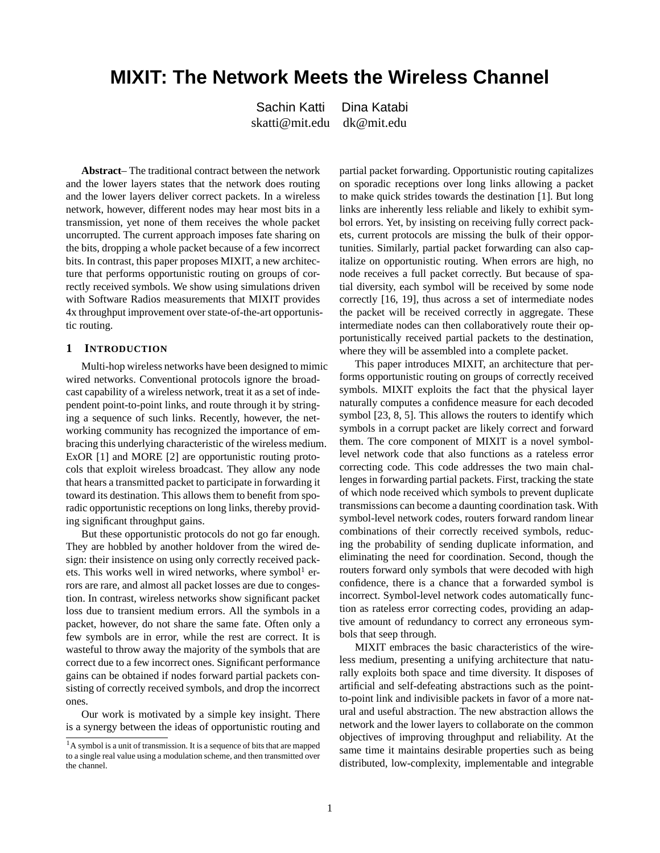# **MIXIT: The Network Meets the Wireless Channel**

Sachin Katti Dina Katabi skatti@mit.edu dk@mit.edu

**Abstract**– The traditional contract between the network and the lower layers states that the network does routing and the lower layers deliver correct packets. In a wireless network, however, different nodes may hear most bits in a transmission, yet none of them receives the whole packet uncorrupted. The current approach imposes fate sharing on the bits, dropping a whole packet because of a few incorrect bits. In contrast, this paper proposes MIXIT, a new architecture that performs opportunistic routing on groups of correctly received symbols. We show using simulations driven with Software Radios measurements that MIXIT provides 4x throughput improvement over state-of-the-art opportunistic routing.

## **1 INTRODUCTION**

Multi-hop wireless networks have been designed to mimic wired networks. Conventional protocols ignore the broadcast capability of a wireless network, treat it as a set of independent point-to-point links, and route through it by stringing a sequence of such links. Recently, however, the networking community has recognized the importance of embracing this underlying characteristic of the wireless medium. ExOR [1] and MORE [2] are opportunistic routing protocols that exploit wireless broadcast. They allow any node that hears a transmitted packet to participate in forwarding it toward its destination. This allows them to benefit from sporadic opportunistic receptions on long links, thereby providing significant throughput gains.

But these opportunistic protocols do not go far enough. They are hobbled by another holdover from the wired design: their insistence on using only correctly received packets. This works well in wired networks, where symbol<sup>1</sup> errors are rare, and almost all packet losses are due to congestion. In contrast, wireless networks show significant packet loss due to transient medium errors. All the symbols in a packet, however, do not share the same fate. Often only a few symbols are in error, while the rest are correct. It is wasteful to throw away the majority of the symbols that are correct due to a few incorrect ones. Significant performance gains can be obtained if nodes forward partial packets consisting of correctly received symbols, and drop the incorrect ones.

Our work is motivated by a simple key insight. There is a synergy between the ideas of opportunistic routing and partial packet forwarding. Opportunistic routing capitalizes on sporadic receptions over long links allowing a packet to make quick strides towards the destination [1]. But long links are inherently less reliable and likely to exhibit symbol errors. Yet, by insisting on receiving fully correct packets, current protocols are missing the bulk of their opportunities. Similarly, partial packet forwarding can also capitalize on opportunistic routing. When errors are high, no node receives a full packet correctly. But because of spatial diversity, each symbol will be received by some node correctly [16, 19], thus across a set of intermediate nodes the packet will be received correctly in aggregate. These intermediate nodes can then collaboratively route their opportunistically received partial packets to the destination, where they will be assembled into a complete packet.

This paper introduces MIXIT, an architecture that performs opportunistic routing on groups of correctly received symbols. MIXIT exploits the fact that the physical layer naturally computes a confidence measure for each decoded symbol [23, 8, 5]. This allows the routers to identify which symbols in a corrupt packet are likely correct and forward them. The core component of MIXIT is a novel symbollevel network code that also functions as a rateless error correcting code. This code addresses the two main challenges in forwarding partial packets. First, tracking the state of which node received which symbols to prevent duplicate transmissions can become a daunting coordination task. With symbol-level network codes, routers forward random linear combinations of their correctly received symbols, reducing the probability of sending duplicate information, and eliminating the need for coordination. Second, though the routers forward only symbols that were decoded with high confidence, there is a chance that a forwarded symbol is incorrect. Symbol-level network codes automatically function as rateless error correcting codes, providing an adaptive amount of redundancy to correct any erroneous symbols that seep through.

MIXIT embraces the basic characteristics of the wireless medium, presenting a unifying architecture that naturally exploits both space and time diversity. It disposes of artificial and self-defeating abstractions such as the pointto-point link and indivisible packets in favor of a more natural and useful abstraction. The new abstraction allows the network and the lower layers to collaborate on the common objectives of improving throughput and reliability. At the same time it maintains desirable properties such as being distributed, low-complexity, implementable and integrable

<sup>&</sup>lt;sup>1</sup>A symbol is a unit of transmission. It is a sequence of bits that are mapped to a single real value using a modulation scheme, and then transmitted over the channel.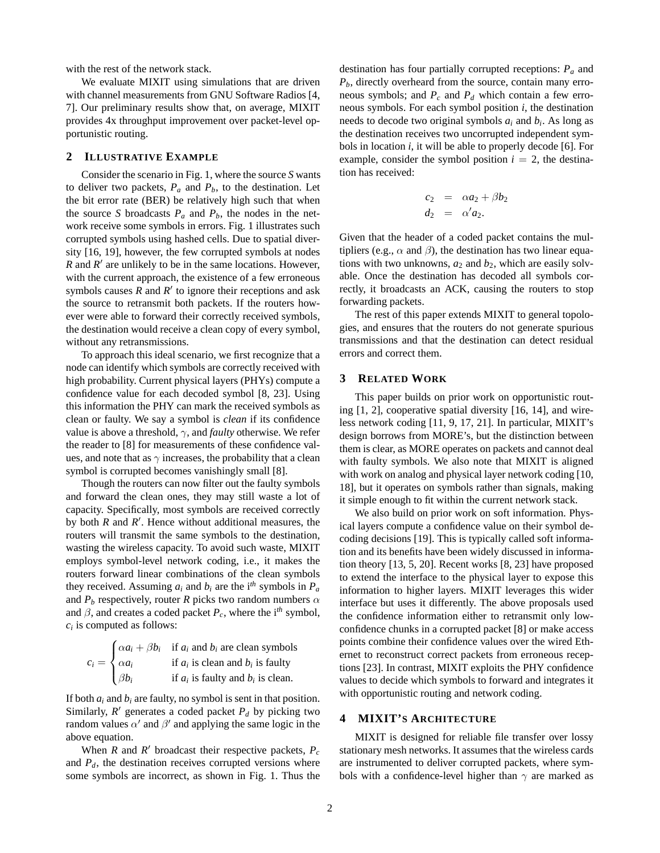with the rest of the network stack.

We evaluate MIXIT using simulations that are driven with channel measurements from GNU Software Radios [4, 7]. Our preliminary results show that, on average, MIXIT provides 4x throughput improvement over packet-level opportunistic routing.

# **2 ILLUSTRATIVE EXAMPLE**

Consider the scenario in Fig. 1, where the source *S* wants to deliver two packets,  $P_a$  and  $P_b$ , to the destination. Let the bit error rate (BER) be relatively high such that when the source *S* broadcasts  $P_a$  and  $P_b$ , the nodes in the network receive some symbols in errors. Fig. 1 illustrates such corrupted symbols using hashed cells. Due to spatial diversity [16, 19], however, the few corrupted symbols at nodes *R* and *R'* are unlikely to be in the same locations. However, with the current approach, the existence of a few erroneous symbols causes  $\overrightarrow{R}$  and  $\overrightarrow{R}'$  to ignore their receptions and ask the source to retransmit both packets. If the routers however were able to forward their correctly received symbols, the destination would receive a clean copy of every symbol, without any retransmissions.

To approach this ideal scenario, we first recognize that a node can identify which symbols are correctly received with high probability. Current physical layers (PHYs) compute a confidence value for each decoded symbol [8, 23]. Using this information the PHY can mark the received symbols as clean or faulty. We say a symbol is *clean* if its confidence value is above a threshold,  $\gamma$ , and *faulty* otherwise. We refer the reader to [8] for measurements of these confidence values, and note that as  $\gamma$  increases, the probability that a clean symbol is corrupted becomes vanishingly small [8].

Though the routers can now filter out the faulty symbols and forward the clean ones, they may still waste a lot of capacity. Specifically, most symbols are received correctly by both *R* and *R'*. Hence without additional measures, the routers will transmit the same symbols to the destination, wasting the wireless capacity. To avoid such waste, MIXIT employs symbol-level network coding, i.e., it makes the routers forward linear combinations of the clean symbols they received. Assuming  $a_i$  and  $b_i$  are the i<sup>th</sup> symbols in  $P_a$ and  $P_b$  respectively, router *R* picks two random numbers  $\alpha$ and  $\beta$ , and creates a coded packet  $P_c$ , where the i<sup>th</sup> symbol, *ci* is computed as follows:

$$
c_i = \begin{cases} \alpha a_i + \beta b_i & \text{if } a_i \text{ and } b_i \text{ are clean symbols} \\ \alpha a_i & \text{if } a_i \text{ is clean and } b_i \text{ is faulty} \\ \beta b_i & \text{if } a_i \text{ is faulty and } b_i \text{ is clean.} \end{cases}
$$

If both  $a_i$  and  $b_i$  are faulty, no symbol is sent in that position. Similarly,  $R'$  generates a coded packet  $P_d$  by picking two random values  $\alpha'$  and  $\beta'$  and applying the same logic in the above equation.

When *R* and *R'* broadcast their respective packets,  $P_c$ and  $P_d$ , the destination receives corrupted versions where some symbols are incorrect, as shown in Fig. 1. Thus the destination has four partially corrupted receptions: *P<sup>a</sup>* and *Pb*, directly overheard from the source, contain many erroneous symbols; and  $P_c$  and  $P_d$  which contain a few erroneous symbols. For each symbol position *i*, the destination needs to decode two original symbols *a<sup>i</sup>* and *b<sup>i</sup>* . As long as the destination receives two uncorrupted independent symbols in location *i*, it will be able to properly decode [6]. For example, consider the symbol position  $i = 2$ , the destination has received:

$$
c_2 = \alpha a_2 + \beta b_2
$$
  
\n
$$
d_2 = \alpha' a_2.
$$

Given that the header of a coded packet contains the multipliers (e.g.,  $\alpha$  and  $\beta$ ), the destination has two linear equations with two unknowns,  $a_2$  and  $b_2$ , which are easily solvable. Once the destination has decoded all symbols correctly, it broadcasts an ACK, causing the routers to stop forwarding packets.

The rest of this paper extends MIXIT to general topologies, and ensures that the routers do not generate spurious transmissions and that the destination can detect residual errors and correct them.

# **3 RELATED WORK**

This paper builds on prior work on opportunistic routing [1, 2], cooperative spatial diversity [16, 14], and wireless network coding [11, 9, 17, 21]. In particular, MIXIT's design borrows from MORE's, but the distinction between them is clear, as MORE operates on packets and cannot deal with faulty symbols. We also note that MIXIT is aligned with work on analog and physical layer network coding [10, 18], but it operates on symbols rather than signals, making it simple enough to fit within the current network stack.

We also build on prior work on soft information. Physical layers compute a confidence value on their symbol decoding decisions [19]. This is typically called soft information and its benefits have been widely discussed in information theory [13, 5, 20]. Recent works [8, 23] have proposed to extend the interface to the physical layer to expose this information to higher layers. MIXIT leverages this wider interface but uses it differently. The above proposals used the confidence information either to retransmit only lowconfidence chunks in a corrupted packet [8] or make access points combine their confidence values over the wired Ethernet to reconstruct correct packets from erroneous receptions [23]. In contrast, MIXIT exploits the PHY confidence values to decide which symbols to forward and integrates it with opportunistic routing and network coding.

# **4 MIXIT'S ARCHITECTURE**

MIXIT is designed for reliable file transfer over lossy stationary mesh networks. It assumes that the wireless cards are instrumented to deliver corrupted packets, where symbols with a confidence-level higher than  $\gamma$  are marked as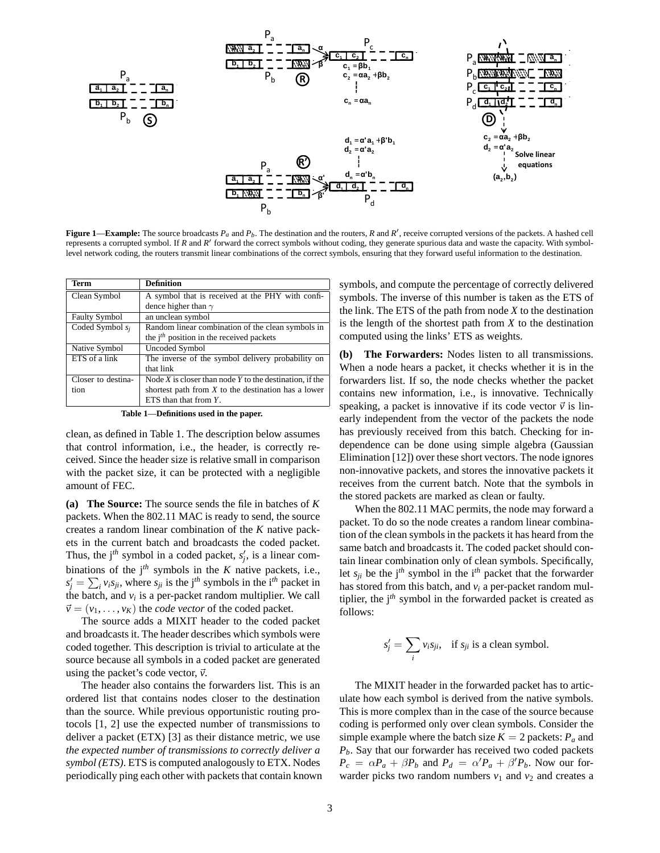

**Figure 1—Example:** The source broadcasts  $P_a$  and  $P_b$ . The destination and the routers,  $R$  and  $R'$ , receive corrupted versions of the packets. A hashed cell represents a corrupted symbol. If *R* and *R'* forward the correct symbols without coding, they generate spurious data and waste the capacity. With symbollevel network coding, the routers transmit linear combinations of the correct symbols, ensuring that they forward useful information to the destination.

| Term                 | <b>Definition</b>                                           |
|----------------------|-------------------------------------------------------------|
| Clean Symbol         | A symbol that is received at the PHY with confi-            |
|                      | dence higher than $\gamma$                                  |
| <b>Faulty Symbol</b> | an unclean symbol                                           |
| Coded Symbol $s_i$   | Random linear combination of the clean symbols in           |
|                      | the $jth$ position in the received packets                  |
| Native Symbol        | Uncoded Symbol                                              |
| ETS of a link        | The inverse of the symbol delivery probability on           |
|                      | that link                                                   |
| Closer to destina-   | Node $X$ is closer than node $Y$ to the destination, if the |
| tion                 | shortest path from $X$ to the destination has a lower       |
|                      | ETS than that from $Y$ .                                    |

**Table 1**—**Definitions used in the paper.**

clean, as defined in Table 1. The description below assumes that control information, i.e., the header, is correctly received. Since the header size is relative small in comparison with the packet size, it can be protected with a negligible amount of FEC.

**(a) The Source:** The source sends the file in batches of *K* packets. When the 802.11 MAC is ready to send, the source creates a random linear combination of the *K* native packets in the current batch and broadcasts the coded packet. Thus, the  $j<sup>th</sup>$  symbol in a coded packet,  $s'_{j}$ , is a linear combinations of the  $j<sup>th</sup>$  symbols in the *K* native packets, i.e.,  $s'_j = \sum_i v_i s_{ji}$ , where  $s_{ji}$  is the j<sup>th</sup> symbols in the i<sup>th</sup> packet in the batch, and  $v_i$  is a per-packet random multiplier. We call  $\vec{v} = (v_1, \dots, v_K)$  the *code vector* of the coded packet.

The source adds a MIXIT header to the coded packet and broadcasts it. The header describes which symbols were coded together. This description is trivial to articulate at the source because all symbols in a coded packet are generated using the packet's code vector,  $\vec{v}$ .

The header also contains the forwarders list. This is an ordered list that contains nodes closer to the destination than the source. While previous opportunistic routing protocols [1, 2] use the expected number of transmissions to deliver a packet (ETX) [3] as their distance metric, we use *the expected number of transmissions to correctly deliver a symbol (ETS)*. ETS is computed analogously to ETX. Nodes periodically ping each other with packets that contain known symbols, and compute the percentage of correctly delivered symbols. The inverse of this number is taken as the ETS of the link. The ETS of the path from node *X* to the destination is the length of the shortest path from *X* to the destination computed using the links' ETS as weights.

**(b) The Forwarders:** Nodes listen to all transmissions. When a node hears a packet, it checks whether it is in the forwarders list. If so, the node checks whether the packet contains new information, i.e., is innovative. Technically speaking, a packet is innovative if its code vector  $\vec{v}$  is linearly independent from the vector of the packets the node has previously received from this batch. Checking for independence can be done using simple algebra (Gaussian Elimination [12]) over these short vectors. The node ignores non-innovative packets, and stores the innovative packets it receives from the current batch. Note that the symbols in the stored packets are marked as clean or faulty.

When the 802.11 MAC permits, the node may forward a packet. To do so the node creates a random linear combination of the clean symbols in the packets it has heard from the same batch and broadcasts it. The coded packet should contain linear combination only of clean symbols. Specifically, let  $s_{ii}$  be the j<sup>th</sup> symbol in the i<sup>th</sup> packet that the forwarder has stored from this batch, and *v<sup>i</sup>* a per-packet random multiplier, the j*th* symbol in the forwarded packet is created as follows:

$$
s'_{j} = \sum_{i} v_{i} s_{ji}, \text{ if } s_{ji} \text{ is a clean symbol.}
$$

The MIXIT header in the forwarded packet has to articulate how each symbol is derived from the native symbols. This is more complex than in the case of the source because coding is performed only over clean symbols. Consider the simple example where the batch size  $K = 2$  packets:  $P_a$  and *Pb*. Say that our forwarder has received two coded packets  $P_c = \alpha P_a + \beta P_b$  and  $P_d = \alpha' P_a + \beta' P_b$ . Now our forwarder picks two random numbers  $v_1$  and  $v_2$  and creates a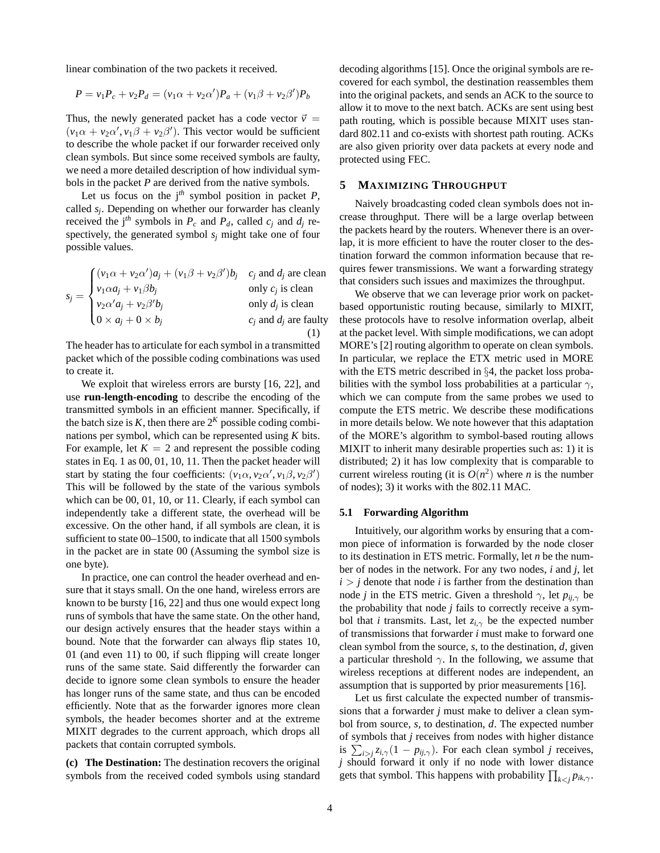linear combination of the two packets it received.

$$
P = v_1 P_c + v_2 P_d = (v_1 \alpha + v_2 \alpha') P_a + (v_1 \beta + v_2 \beta') P_b
$$

Thus, the newly generated packet has a code vector  $\vec{v}$  =  $(v_1\alpha + v_2\alpha', v_1\beta + v_2\beta')$ . This vector would be sufficient to describe the whole packet if our forwarder received only clean symbols. But since some received symbols are faulty, we need a more detailed description of how individual symbols in the packet *P* are derived from the native symbols.

Let us focus on the  $j<sup>th</sup>$  symbol position in packet  $P$ , called *s<sup>j</sup>* . Depending on whether our forwarder has cleanly received the j<sup>th</sup> symbols in  $P_c$  and  $P_d$ , called  $c_j$  and  $d_j$  respectively, the generated symbol *s<sup>j</sup>* might take one of four possible values.

$$
s_j = \begin{cases} (v_1\alpha + v_2\alpha')a_j + (v_1\beta + v_2\beta')b_j & c_j \text{ and } d_j \text{ are clean} \\ v_1\alpha a_j + v_1\beta b_j & \text{only } c_j \text{ is clean} \\ v_2\alpha' a_j + v_2\beta' b_j & \text{only } d_j \text{ is clean} \\ 0 \times a_j + 0 \times b_j & c_j \text{ and } d_j \text{ are faulty} \end{cases}
$$

The header has to articulate for each symbol in a transmitted packet which of the possible coding combinations was used to create it.

We exploit that wireless errors are bursty [16, 22], and use **run-length-encoding** to describe the encoding of the transmitted symbols in an efficient manner. Specifically, if the batch size is  $K$ , then there are  $2^{K}$  possible coding combinations per symbol, which can be represented using *K* bits. For example, let  $K = 2$  and represent the possible coding states in Eq. 1 as 00, 01, 10, 11. Then the packet header will start by stating the four coefficients:  $(v_1 \alpha, v_2 \alpha', v_1 \beta, v_2 \beta')$ This will be followed by the state of the various symbols which can be 00, 01, 10, or 11. Clearly, if each symbol can independently take a different state, the overhead will be excessive. On the other hand, if all symbols are clean, it is sufficient to state 00–1500, to indicate that all 1500 symbols in the packet are in state 00 (Assuming the symbol size is one byte).

In practice, one can control the header overhead and ensure that it stays small. On the one hand, wireless errors are known to be bursty [16, 22] and thus one would expect long runs of symbols that have the same state. On the other hand, our design actively ensures that the header stays within a bound. Note that the forwarder can always flip states 10, 01 (and even 11) to 00, if such flipping will create longer runs of the same state. Said differently the forwarder can decide to ignore some clean symbols to ensure the header has longer runs of the same state, and thus can be encoded efficiently. Note that as the forwarder ignores more clean symbols, the header becomes shorter and at the extreme MIXIT degrades to the current approach, which drops all packets that contain corrupted symbols.

**(c) The Destination:** The destination recovers the original symbols from the received coded symbols using standard decoding algorithms [15]. Once the original symbols are recovered for each symbol, the destination reassembles them into the original packets, and sends an ACK to the source to allow it to move to the next batch. ACKs are sent using best path routing, which is possible because MIXIT uses standard 802.11 and co-exists with shortest path routing. ACKs are also given priority over data packets at every node and protected using FEC.

### **5 MAXIMIZING THROUGHPUT**

Naively broadcasting coded clean symbols does not increase throughput. There will be a large overlap between the packets heard by the routers. Whenever there is an overlap, it is more efficient to have the router closer to the destination forward the common information because that requires fewer transmissions. We want a forwarding strategy that considers such issues and maximizes the throughput.

We observe that we can leverage prior work on packetbased opportunistic routing because, similarly to MIXIT, these protocols have to resolve information overlap, albeit at the packet level. With simple modifications, we can adopt MORE's [2] routing algorithm to operate on clean symbols. In particular, we replace the ETX metric used in MORE with the ETS metric described in §4, the packet loss probabilities with the symbol loss probabilities at a particular  $\gamma$ , which we can compute from the same probes we used to compute the ETS metric. We describe these modifications in more details below. We note however that this adaptation of the MORE's algorithm to symbol-based routing allows MIXIT to inherit many desirable properties such as: 1) it is distributed; 2) it has low complexity that is comparable to current wireless routing (it is  $O(n^2)$  where *n* is the number of nodes); 3) it works with the 802.11 MAC.

#### **5.1 Forwarding Algorithm**

Intuitively, our algorithm works by ensuring that a common piece of information is forwarded by the node closer to its destination in ETS metric. Formally, let *n* be the number of nodes in the network. For any two nodes, *i* and *j*, let  $i > j$  denote that node *i* is farther from the destination than node *j* in the ETS metric. Given a threshold  $\gamma$ , let  $p_{ii,\gamma}$  be the probability that node *j* fails to correctly receive a symbol that *i* transmits. Last, let  $z_{i,\gamma}$  be the expected number of transmissions that forwarder *i* must make to forward one clean symbol from the source, *s*, to the destination, *d*, given a particular threshold  $\gamma$ . In the following, we assume that wireless receptions at different nodes are independent, an assumption that is supported by prior measurements [16].

Let us first calculate the expected number of transmissions that a forwarder *j* must make to deliver a clean symbol from source, *s*, to destination, *d*. The expected number of symbols that *j* receives from nodes with higher distance is  $\sum_{i>j} z_{i,\gamma} (1 - p_{ij,\gamma})$ . For each clean symbol *j* receives, *j* should forward it only if no node with lower distance gets that symbol. This happens with probability  $\prod_{k < j} p_{ik,\gamma}$ .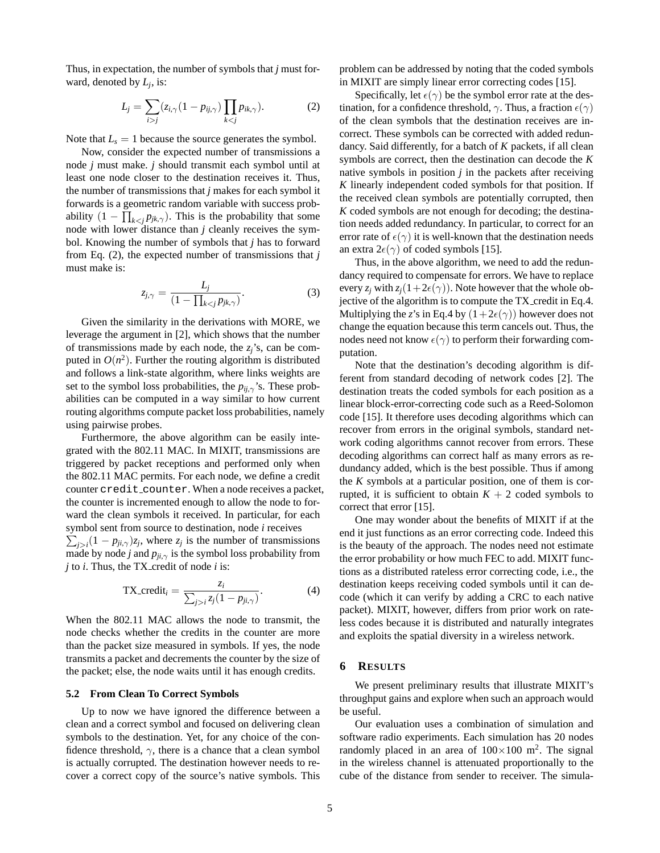Thus, in expectation, the number of symbols that *j* must forward, denoted by *L<sup>j</sup>* , is:

$$
L_j = \sum_{i>j} (z_{i,\gamma} (1 - p_{ij,\gamma}) \prod_{k < j} p_{ik,\gamma}). \tag{2}
$$

Note that  $L<sub>s</sub> = 1$  because the source generates the symbol.

Now, consider the expected number of transmissions a node *j* must make. *j* should transmit each symbol until at least one node closer to the destination receives it. Thus, the number of transmissions that *j* makes for each symbol it forwards is a geometric random variable with success probability  $(1 - \prod_{k < j} p_{jk,\gamma})$ . This is the probability that some node with lower distance than *j* cleanly receives the symbol. Knowing the number of symbols that *j* has to forward from Eq. (2), the expected number of transmissions that *j* must make is:

$$
z_{j,\gamma} = \frac{L_j}{(1 - \prod_{k < j} p_{jk,\gamma})}.\tag{3}
$$

Given the similarity in the derivations with MORE, we leverage the argument in [2], which shows that the number of transmissions made by each node, the  $z_i$ 's, can be computed in  $O(n^2)$ . Further the routing algorithm is distributed and follows a link-state algorithm, where links weights are set to the symbol loss probabilities, the  $p_{ii,\gamma}$ 's. These probabilities can be computed in a way similar to how current routing algorithms compute packet loss probabilities, namely using pairwise probes.

Furthermore, the above algorithm can be easily integrated with the 802.11 MAC. In MIXIT, transmissions are triggered by packet receptions and performed only when the 802.11 MAC permits. For each node, we define a credit counter credit counter. When a node receives a packet, the counter is incremented enough to allow the node to forward the clean symbols it received. In particular, for each symbol sent from source to destination, node *i* receives

 $\sum_{j>i} (1 - p_{ji,\gamma})z_j$ , where  $z_j$  is the number of transmissions made by node *j* and  $p_{ji,\gamma}$  is the symbol loss probability from *j* to *i*. Thus, the TX<sub>-</sub>credit of node *i* is:

TX\_credit<sub>i</sub> = 
$$
\frac{z_i}{\sum_{j>i} z_j (1 - p_{ji,\gamma})}.
$$
 (4)

When the 802.11 MAC allows the node to transmit, the node checks whether the credits in the counter are more than the packet size measured in symbols. If yes, the node transmits a packet and decrements the counter by the size of the packet; else, the node waits until it has enough credits.

# **5.2 From Clean To Correct Symbols**

Up to now we have ignored the difference between a clean and a correct symbol and focused on delivering clean symbols to the destination. Yet, for any choice of the confidence threshold,  $\gamma$ , there is a chance that a clean symbol is actually corrupted. The destination however needs to recover a correct copy of the source's native symbols. This problem can be addressed by noting that the coded symbols in MIXIT are simply linear error correcting codes [15].

Specifically, let  $\epsilon(\gamma)$  be the symbol error rate at the destination, for a confidence threshold,  $\gamma$ . Thus, a fraction  $\epsilon(\gamma)$ of the clean symbols that the destination receives are incorrect. These symbols can be corrected with added redundancy. Said differently, for a batch of *K* packets, if all clean symbols are correct, then the destination can decode the *K* native symbols in position  $j$  in the packets after receiving *K* linearly independent coded symbols for that position. If the received clean symbols are potentially corrupted, then *K* coded symbols are not enough for decoding; the destination needs added redundancy. In particular, to correct for an error rate of  $\epsilon(\gamma)$  it is well-known that the destination needs an extra  $2\epsilon(\gamma)$  of coded symbols [15].

Thus, in the above algorithm, we need to add the redundancy required to compensate for errors. We have to replace every  $z_i$  with  $z_i(1+2\epsilon(\gamma))$ . Note however that the whole objective of the algorithm is to compute the TX credit in Eq.4. Multiplying the *z*'s in Eq.4 by  $(1+2\epsilon(\gamma))$  however does not change the equation because this term cancels out. Thus, the nodes need not know  $\epsilon(\gamma)$  to perform their forwarding computation.

Note that the destination's decoding algorithm is different from standard decoding of network codes [2]. The destination treats the coded symbols for each position as a linear block-error-correcting code such as a Reed-Solomon code [15]. It therefore uses decoding algorithms which can recover from errors in the original symbols, standard network coding algorithms cannot recover from errors. These decoding algorithms can correct half as many errors as redundancy added, which is the best possible. Thus if among the *K* symbols at a particular position, one of them is corrupted, it is sufficient to obtain  $K + 2$  coded symbols to correct that error [15].

One may wonder about the benefits of MIXIT if at the end it just functions as an error correcting code. Indeed this is the beauty of the approach. The nodes need not estimate the error probability or how much FEC to add. MIXIT functions as a distributed rateless error correcting code, i.e., the destination keeps receiving coded symbols until it can decode (which it can verify by adding a CRC to each native packet). MIXIT, however, differs from prior work on rateless codes because it is distributed and naturally integrates and exploits the spatial diversity in a wireless network.

#### **6 RESULTS**

We present preliminary results that illustrate MIXIT's throughput gains and explore when such an approach would be useful.

Our evaluation uses a combination of simulation and software radio experiments. Each simulation has 20 nodes randomly placed in an area of  $100 \times 100$  m<sup>2</sup>. The signal in the wireless channel is attenuated proportionally to the cube of the distance from sender to receiver. The simula-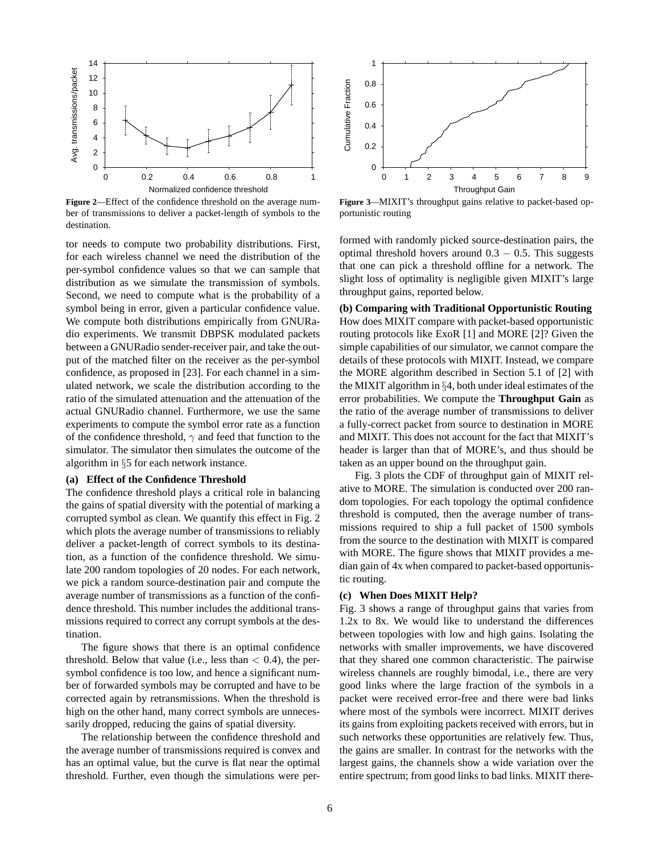

**Figure 2**—Effect of the confidence threshold on the average number of transmissions to deliver a packet-length of symbols to the destination.

tor needs to compute two probability distributions. First, for each wireless channel we need the distribution of the per-symbol confidence values so that we can sample that distribution as we simulate the transmission of symbols. Second, we need to compute what is the probability of a symbol being in error, given a particular confidence value. We compute both distributions empirically from GNURadio experiments. We transmit DBPSK modulated packets between a GNURadio sender-receiver pair, and take the output of the matched filter on the receiver as the per-symbol confidence, as proposed in [23]. For each channel in a simulated network, we scale the distribution according to the ratio of the simulated attenuation and the attenuation of the actual GNURadio channel. Furthermore, we use the same experiments to compute the symbol error rate as a function of the confidence threshold,  $\gamma$  and feed that function to the simulator. The simulator then simulates the outcome of the algorithm in §5 for each network instance.

## **(a) Effect of the Confidence Threshold**

The confidence threshold plays a critical role in balancing the gains of spatial diversity with the potential of marking a corrupted symbol as clean. We quantify this effect in Fig. 2 which plots the average number of transmissions to reliably deliver a packet-length of correct symbols to its destination, as a function of the confidence threshold. We simulate 200 random topologies of 20 nodes. For each network, we pick a random source-destination pair and compute the average number of transmissions as a function of the confidence threshold. This number includes the additional transmissions required to correct any corrupt symbols at the destination.

The figure shows that there is an optimal confidence threshold. Below that value (i.e., less than  $< 0.4$ ), the persymbol confidence is too low, and hence a significant number of forwarded symbols may be corrupted and have to be corrected again by retransmissions. When the threshold is high on the other hand, many correct symbols are unnecessarily dropped, reducing the gains of spatial diversity.

The relationship between the confidence threshold and the average number of transmissions required is convex and has an optimal value, but the curve is flat near the optimal threshold. Further, even though the simulations were per-



**Figure 3**—MIXIT's throughput gains relative to packet-based opportunistic routing

formed with randomly picked source-destination pairs, the optimal threshold hovers around  $0.3 - 0.5$ . This suggests that one can pick a threshold offline for a network. The slight loss of optimality is negligible given MIXIT's large throughput gains, reported below.

**(b) Comparing with Traditional Opportunistic Routing** How does MIXIT compare with packet-based opportunistic routing protocols like ExoR [1] and MORE [2]? Given the simple capabilities of our simulator, we cannot compare the details of these protocols with MIXIT. Instead, we compare the MORE algorithm described in Section 5.1 of [2] with the MIXIT algorithm in §4, both under ideal estimates of the error probabilities. We compute the **Throughput Gain** as the ratio of the average number of transmissions to deliver a fully-correct packet from source to destination in MORE and MIXIT. This does not account for the fact that MIXIT's header is larger than that of MORE's, and thus should be taken as an upper bound on the throughput gain.

Fig. 3 plots the CDF of throughput gain of MIXIT relative to MORE. The simulation is conducted over 200 random topologies. For each topology the optimal confidence threshold is computed, then the average number of transmissions required to ship a full packet of 1500 symbols from the source to the destination with MIXIT is compared with MORE. The figure shows that MIXIT provides a median gain of 4x when compared to packet-based opportunistic routing.

#### **(c) When Does MIXIT Help?**

Fig. 3 shows a range of throughput gains that varies from 1.2x to 8x. We would like to understand the differences between topologies with low and high gains. Isolating the networks with smaller improvements, we have discovered that they shared one common characteristic. The pairwise wireless channels are roughly bimodal, i.e., there are very good links where the large fraction of the symbols in a packet were received error-free and there were bad links where most of the symbols were incorrect. MIXIT derives its gains from exploiting packets received with errors, but in such networks these opportunities are relatively few. Thus, the gains are smaller. In contrast for the networks with the largest gains, the channels show a wide variation over the entire spectrum; from good links to bad links. MIXIT there